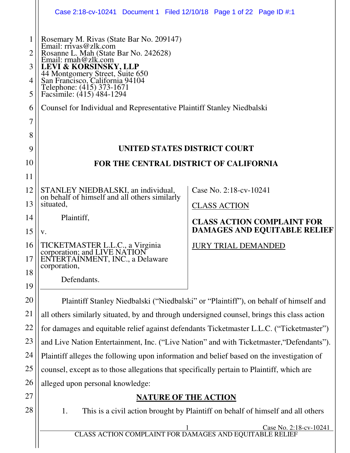|          | Case 2:18-cv-10241 Document 1 Filed 12/10/18 Page 1 of 22 Page ID #:1                                                                                                                |                                     |  |  |  |  |  |
|----------|--------------------------------------------------------------------------------------------------------------------------------------------------------------------------------------|-------------------------------------|--|--|--|--|--|
| 1        | Rosemary M. Rivas (State Bar No. 209147)<br>Email: rrivas@zlk.com<br>Rosanne L. Mah (State Bar No. 242628)<br>Email: rmah@zlk.com                                                    |                                     |  |  |  |  |  |
| 3<br>4   | LEVI & KORSINSKY, LLP<br>44 Montgomery Street, Suite 650<br>San Francisco, California 94104                                                                                          |                                     |  |  |  |  |  |
| 5        | Telephone: (415) 373-1671<br>Facsimile: (415) 484-1294                                                                                                                               |                                     |  |  |  |  |  |
| 6        | Counsel for Individual and Representative Plaintiff Stanley Niedbalski                                                                                                               |                                     |  |  |  |  |  |
| 7        |                                                                                                                                                                                      |                                     |  |  |  |  |  |
| 8<br>9   | UNITED STATES DISTRICT COURT                                                                                                                                                         |                                     |  |  |  |  |  |
| 10       | FOR THE CENTRAL DISTRICT OF CALIFORNIA                                                                                                                                               |                                     |  |  |  |  |  |
| 11       |                                                                                                                                                                                      |                                     |  |  |  |  |  |
| 12       | STANLEY NIEDBALSKI, an individual,                                                                                                                                                   | Case No. 2:18-cv-10241              |  |  |  |  |  |
| 13       | on behalf of himself and all others similarly<br>situated,                                                                                                                           | <b>CLASS ACTION</b>                 |  |  |  |  |  |
| 14       | Plaintiff,                                                                                                                                                                           | <b>CLASS ACTION COMPLAINT FOR</b>   |  |  |  |  |  |
| 15       | V.                                                                                                                                                                                   | <b>DAMAGES AND EQUITABLE RELIEF</b> |  |  |  |  |  |
| 16       | TICKETMASTER L.L.C., a Virginia<br>corporation; and LIVE NATION                                                                                                                      | <b>JURY TRIAL DEMANDED</b>          |  |  |  |  |  |
| 17       | ENTERTAINMENT, INC., a Delaware<br>corporation,                                                                                                                                      |                                     |  |  |  |  |  |
| 18       | Defendants.                                                                                                                                                                          |                                     |  |  |  |  |  |
| 19       |                                                                                                                                                                                      |                                     |  |  |  |  |  |
| 20<br>21 | Plaintiff Stanley Niedbalski ("Niedbalski" or "Plaintiff"), on behalf of himself and                                                                                                 |                                     |  |  |  |  |  |
| 22       | all others similarly situated, by and through undersigned counsel, brings this class action                                                                                          |                                     |  |  |  |  |  |
| 23       | for damages and equitable relief against defendants Ticketmaster L.L.C. ("Ticketmaster")<br>and Live Nation Entertainment, Inc. ("Live Nation" and with Ticketmaster, "Defendants"). |                                     |  |  |  |  |  |
| 24       | Plaintiff alleges the following upon information and belief based on the investigation of                                                                                            |                                     |  |  |  |  |  |
| 25       | counsel, except as to those allegations that specifically pertain to Plaintiff, which are                                                                                            |                                     |  |  |  |  |  |
| 26       | alleged upon personal knowledge:                                                                                                                                                     |                                     |  |  |  |  |  |
| 27       | <b>NATURE OF THE ACTION</b>                                                                                                                                                          |                                     |  |  |  |  |  |
| 28       | 1.<br>This is a civil action brought by Plaintiff on behalf of himself and all others                                                                                                |                                     |  |  |  |  |  |
|          | Case No. 2:18-cv-10241<br>$\frac{1}{\text{CLASS\,\,ACTION\,\,COMPLAINT\,\,FOR\,\,DAMAGES\,\,AND\,\,EQUITABLE\,\,RELIEF}}$                                                            |                                     |  |  |  |  |  |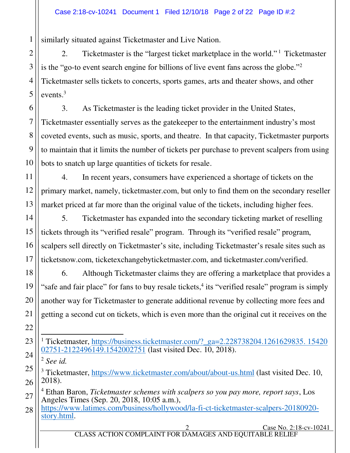similarly situated against Ticketmaster and Live Nation.

2. Ticketmaster is the "largest ticket marketplace in the world."<sup>1</sup> Ticketmaster is the "go-to event search engine for billions of live event fans across the globe."<sup>2</sup> Ticketmaster sells tickets to concerts, sports games, arts and theater shows, and other events.<sup>3</sup>

3. As Ticketmaster is the leading ticket provider in the United States, Ticketmaster essentially serves as the gatekeeper to the entertainment industry's most coveted events, such as music, sports, and theatre. In that capacity, Ticketmaster purports to maintain that it limits the number of tickets per purchase to prevent scalpers from using bots to snatch up large quantities of tickets for resale.

4. In recent years, consumers have experienced a shortage of tickets on the primary market, namely, ticketmaster.com, but only to find them on the secondary reseller market priced at far more than the original value of the tickets, including higher fees.

5. Ticketmaster has expanded into the secondary ticketing market of reselling tickets through its "verified resale" program. Through its "verified resale" program, scalpers sell directly on Ticketmaster's site, including Ticketmaster's resale sites such as ticketsnow.com, ticketexchangebyticketmaster.com, and ticketmaster.com/verified.

6. Although Ticketmaster claims they are offering a marketplace that provides a "safe and fair place" for fans to buy resale tickets, $4$  its "verified resale" program is simply another way for Ticketmaster to generate additional revenue by collecting more fees and getting a second cut on tickets, which is even more than the original cut it receives on the

1

 1 Ticketmaster, [https://business.ticketmaster.com/?\\_ga=2.228738204.1261629835. 15420](https://business.ticketmaster.com/?_ga=2.228738204.1261629835.%2015420‌02751-2122496149.1542002751) [02751-2122496149.1542002751](https://business.ticketmaster.com/?_ga=2.228738204.1261629835.%2015420‌02751-2122496149.1542002751) (last visited Dec. 10, 2018).

<sup>2</sup> *See id.* 

<sup>&</sup>lt;sup>3</sup> Ticketmaster,<https://www.ticketmaster.com/about/about-us.html>(last visited Dec. 10, 2018).

<sup>4</sup> Ethan Baron, *Ticketmaster schemes with scalpers so you pay more, report says*, Los Angeles Times (Sep. 20, 2018, 10:05 a.m.),

[https://www.latimes.com/business/hollywood/la-fi-ct-ticketmaster-scalpers-20180920](https://www.latimes.com/business/hollywood/la-fi-ct-ticketmaster-scalpers-20180920-story.html) [story.html.](https://www.latimes.com/business/hollywood/la-fi-ct-ticketmaster-scalpers-20180920-story.html)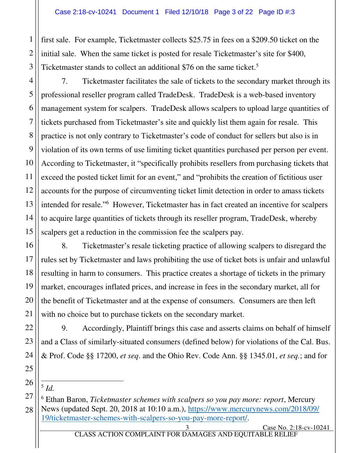first sale. For example, Ticketmaster collects \$25.75 in fees on a \$209.50 ticket on the initial sale. When the same ticket is posted for resale Ticketmaster's site for \$400, Ticketmaster stands to collect an additional \$76 on the same ticket.<sup>5</sup>

7. Ticketmaster facilitates the sale of tickets to the secondary market through its professional reseller program called TradeDesk. TradeDesk is a web-based inventory management system for scalpers. TradeDesk allows scalpers to upload large quantities of tickets purchased from Ticketmaster's site and quickly list them again for resale. This practice is not only contrary to Ticketmaster's code of conduct for sellers but also is in violation of its own terms of use limiting ticket quantities purchased per person per event. According to Ticketmaster, it "specifically prohibits resellers from purchasing tickets that exceed the posted ticket limit for an event," and "prohibits the creation of fictitious user accounts for the purpose of circumventing ticket limit detection in order to amass tickets intended for resale."<sup>6</sup> However, Ticketmaster has in fact created an incentive for scalpers to acquire large quantities of tickets through its reseller program, TradeDesk, whereby scalpers get a reduction in the commission fee the scalpers pay.

8. Ticketmaster's resale ticketing practice of allowing scalpers to disregard the rules set by Ticketmaster and laws prohibiting the use of ticket bots is unfair and unlawful resulting in harm to consumers. This practice creates a shortage of tickets in the primary market, encourages inflated prices, and increase in fees in the secondary market, all for the benefit of Ticketmaster and at the expense of consumers. Consumers are then left with no choice but to purchase tickets on the secondary market.

9. Accordingly, Plaintiff brings this case and asserts claims on behalf of himself and a Class of similarly-situated consumers (defined below) for violations of the Cal. Bus. & Prof. Code §§ 17200, *et seq*. and the Ohio Rev. Code Ann. §§ 1345.01, *et seq.*; and for

# 5 *Id.*

6 Ethan Baron, *Ticketmaster schemes with scalpers so you pay more: report*, Mercury News (updated Sept. 20, 2018 at 10:10 a.m.), https://www.mercurynews.com/2018/09/ 19/ticketmaster-schemes-with-scalpers-so-you-pay-more-report/.

Case No. 2:18-cv-10241 CLASS ACTION COMPLAINT FOR DAMAGES AND EQUITABLE RELIEF

1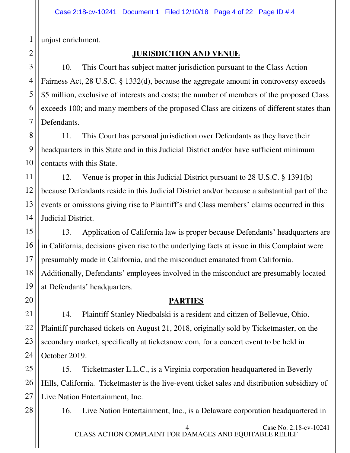unjust enrichment.

## **JURISDICTION AND VENUE**

10. This Court has subject matter jurisdiction pursuant to the Class Action Fairness Act, 28 U.S.C. § 1332(d), because the aggregate amount in controversy exceeds \$5 million, exclusive of interests and costs; the number of members of the proposed Class exceeds 100; and many members of the proposed Class are citizens of different states than Defendants.

11. This Court has personal jurisdiction over Defendants as they have their headquarters in this State and in this Judicial District and/or have sufficient minimum contacts with this State.

12. Venue is proper in this Judicial District pursuant to 28 U.S.C. § 1391(b) because Defendants reside in this Judicial District and/or because a substantial part of the events or omissions giving rise to Plaintiff's and Class members' claims occurred in this Judicial District.

13. Application of California law is proper because Defendants' headquarters are in California, decisions given rise to the underlying facts at issue in this Complaint were presumably made in California, and the misconduct emanated from California. Additionally, Defendants' employees involved in the misconduct are presumably located at Defendants' headquarters.

## **PARTIES**

14. Plaintiff Stanley Niedbalski is a resident and citizen of Bellevue, Ohio. Plaintiff purchased tickets on August 21, 2018, originally sold by Ticketmaster, on the secondary market, specifically at ticketsnow.com, for a concert event to be held in October 2019.

15. Ticketmaster L.L.C., is a Virginia corporation headquartered in Beverly Hills, California. Ticketmaster is the live-event ticket sales and distribution subsidiary of Live Nation Entertainment, Inc.

16. Live Nation Entertainment, Inc., is a Delaware corporation headquartered in

Case No. 2:18-cv-10241 CLASS ACTION COMPLAINT FOR DAMAGES AND EQUITABLE REL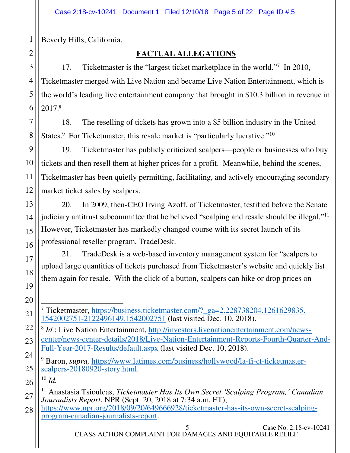Beverly Hills, California.

## **FACTUAL ALLEGATIONS**

17. Ticketmaster is the "largest ticket marketplace in the world."<sup>7</sup> In 2010, Ticketmaster merged with Live Nation and became Live Nation Entertainment, which is the world's leading live entertainment company that brought in \$10.3 billion in revenue in 2017. 8

18. The reselling of tickets has grown into a \$5 billion industry in the United States.<sup>9</sup> For Ticketmaster, this resale market is "particularly lucrative."<sup>10</sup>

19. Ticketmaster has publicly criticized scalpers—people or businesses who buy tickets and then resell them at higher prices for a profit. Meanwhile, behind the scenes, Ticketmaster has been quietly permitting, facilitating, and actively encouraging secondary market ticket sales by scalpers.

20. In 2009, then-CEO Irving Azoff, of Ticketmaster, testified before the Senate judiciary antitrust subcommittee that he believed "scalping and resale should be illegal."<sup>11</sup> However, Ticketmaster has markedly changed course with its secret launch of its professional reseller program, TradeDesk.

21. TradeDesk is a web-based inventory management system for "scalpers to upload large quantities of tickets purchased from Ticketmaster's website and quickly list them again for resale. With the click of a button, scalpers can hike or drop prices on

 $\overline{a}$ <sup>7</sup> Ticketmaster, [https://business.ticketmaster.com/?\\_ga=2.228738204.1261629835.](https://business.ticketmaster.com/?_ga=2.228738204.1261629835.‌1542002751-2122496149.1542002751) [1542002751-2122496149.1542002751](https://business.ticketmaster.com/?_ga=2.228738204.1261629835.‌1542002751-2122496149.1542002751) (last visited Dec. 10, 2018).

<sup>8</sup> *Id.*; Live Nation Entertainment, [http://investors.livenationentertainment.com/news](http://investors.livenationentertainment.com/news-center/news-center-details/2018/Live-Nation-Entertainment-Reports-Fourth-Quarter-And-Full-Year-2017-Results/default.aspx)[center/news-center-details/2018/Live-Nation-Entertainment-Reports-Fourth-Quarter-And-](http://investors.livenationentertainment.com/news-center/news-center-details/2018/Live-Nation-Entertainment-Reports-Fourth-Quarter-And-Full-Year-2017-Results/default.aspx)[Full-Year-2017-Results/default.aspx](http://investors.livenationentertainment.com/news-center/news-center-details/2018/Live-Nation-Entertainment-Reports-Fourth-Quarter-And-Full-Year-2017-Results/default.aspx) (last visited Dec. 10, 2018).

<sup>9</sup> Baron, *supra*, [https://www.latimes.com/business/hollywood/la-fi-ct-ticketmaster](https://www.latimes.com/business/hollywood/la-fi-ct-ticketmaster-scalpers-20180920-story.html)[scalpers-20180920-story.html.](https://www.latimes.com/business/hollywood/la-fi-ct-ticketmaster-scalpers-20180920-story.html)

 $^{10}$  *Id.* 

<sup>11</sup> Anastasia Tsioulcas, *Ticketmaster Has Its Own Secret 'Scalping Program,' Canadian Journalists Report*, NPR (Sept. 20, 2018 at 7:34 a.m. ET),

[https://www.npr.org/2018/09/20/649666928/ticketmaster-has-its-own-secret-scalping](https://www.npr.org/2018/09/20/649666928/ticketmaster-has-its-own-secret-scalping-program-canadian-journalists-report)[program-canadian-journalists-report.](https://www.npr.org/2018/09/20/649666928/ticketmaster-has-its-own-secret-scalping-program-canadian-journalists-report)

1

Case No. 2:18-cv-10241 CLASS ACTION COMPLAINT FOR DAMAGES AND EQUITABLE RELIEF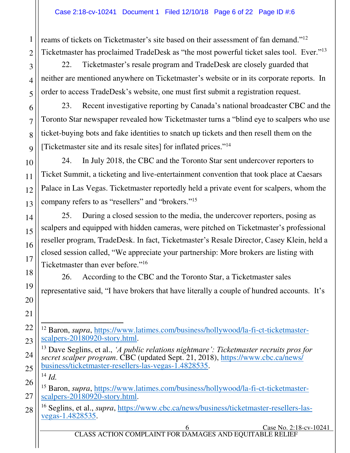reams of tickets on Ticketmaster's site based on their assessment of fan demand."<sup>12</sup> Ticketmaster has proclaimed TradeDesk as "the most powerful ticket sales tool. Ever."<sup>13</sup>

22. Ticketmaster's resale program and TradeDesk are closely guarded that neither are mentioned anywhere on Ticketmaster's website or in its corporate reports. In order to access TradeDesk's website, one must first submit a registration request.

23. Recent investigative reporting by Canada's national broadcaster CBC and the Toronto Star newspaper revealed how Ticketmaster turns a "blind eye to scalpers who use ticket-buying bots and fake identities to snatch up tickets and then resell them on the [Ticketmaster site and its resale sites] for inflated prices."<sup>14</sup>

24. In July 2018, the CBC and the Toronto Star sent undercover reporters to Ticket Summit, a ticketing and live-entertainment convention that took place at Caesars Palace in Las Vegas. Ticketmaster reportedly held a private event for scalpers, whom the company refers to as "resellers" and "brokers."<sup>15</sup>

25. During a closed session to the media, the undercover reporters, posing as scalpers and equipped with hidden cameras, were pitched on Ticketmaster's professional reseller program, TradeDesk. In fact, Ticketmaster's Resale Director, Casey Klein, held a closed session called, "We appreciate your partnership: More brokers are listing with Ticketmaster than ever before."<sup>16</sup>

26. According to the CBC and the Toronto Star, a Ticketmaster sales representative said, "I have brokers that have literally a couple of hundred accounts. It's

<sup>14</sup> *Id.*

<sup>16</sup> Seglins, et al., *supra*, [https://www.cbc.ca/news/business/ticketmaster-resellers-las](https://www.cbc.ca/news/business/ticketmaster-resellers-las-vegas-1.4828535)[vegas-1.4828535.](https://www.cbc.ca/news/business/ticketmaster-resellers-las-vegas-1.4828535)

 $\overline{a}$ <sup>12</sup> Baron, *supra*, [https://www.latimes.com/business/hollywood/la-fi-ct-ticketmaster](https://www.latimes.com/business/hollywood/la-fi-ct-ticketmaster-scalpers-20180920-story.html)[scalpers-20180920-story.html.](https://www.latimes.com/business/hollywood/la-fi-ct-ticketmaster-scalpers-20180920-story.html)

<sup>13</sup> Dave Seglins, et al., *'A public relations nightmare': Ticketmaster recruits pros for secret scalper program*. CBC (updated Sept. 21, 2018), [https://www.cbc.ca/news/](https://www.cbc.ca/news/‌business/ticketmaster-resellers-las-vegas-1.4828535) [business/ticketmaster-resellers-las-vegas-1.4828535.](https://www.cbc.ca/news/‌business/ticketmaster-resellers-las-vegas-1.4828535)

<sup>15</sup> Baron, *supra*, [https://www.latimes.com/business/hollywood/la-fi-ct-ticketmaster](https://www.latimes.com/business/hollywood/la-fi-ct-ticketmaster-scalpers-20180920-story.html)[scalpers-20180920-story.html.](https://www.latimes.com/business/hollywood/la-fi-ct-ticketmaster-scalpers-20180920-story.html)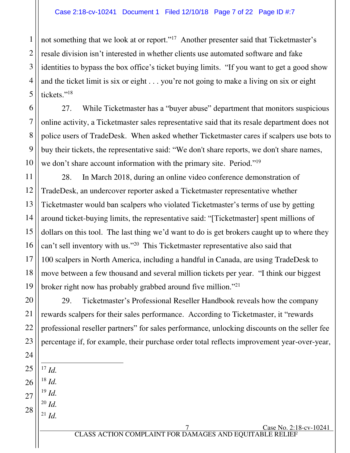not something that we look at or report."<sup>17</sup> Another presenter said that Ticketmaster's resale division isn't interested in whether clients use automated software and fake identities to bypass the box office's ticket buying limits. "If you want to get a good show and the ticket limit is six or eight . . . you're not going to make a living on six or eight tickets."<sup>18</sup>

27. While Ticketmaster has a "buyer abuse" department that monitors suspicious online activity, a Ticketmaster sales representative said that its resale department does not police users of TradeDesk. When asked whether Ticketmaster cares if scalpers use bots to buy their tickets, the representative said: "We don't share reports, we don't share names, we don't share account information with the primary site. Period."<sup>19</sup>

16 28. In March 2018, during an online video conference demonstration of TradeDesk, an undercover reporter asked a Ticketmaster representative whether Ticketmaster would ban scalpers who violated Ticketmaster's terms of use by getting around ticket-buying limits, the representative said: "[Ticketmaster] spent millions of dollars on this tool. The last thing we'd want to do is get brokers caught up to where they can't sell inventory with us."<sup>20</sup> This Ticketmaster representative also said that 100 scalpers in North America, including a handful in Canada, are using TradeDesk to move between a few thousand and several million tickets per year. "I think our biggest broker right now has probably grabbed around five million."<sup>21</sup>

29. Ticketmaster's Professional Reseller Handbook reveals how the company rewards scalpers for their sales performance. According to Ticketmaster, it "rewards professional reseller partners" for sales performance, unlocking discounts on the seller fee percentage if, for example, their purchase order total reflects improvement year-over-year,

 $\overline{a}$ <sup>17</sup> *Id.*

26 <sup>18</sup> *Id.* 

1

2

3

4

5

6

7

8

9

10

11

12

13

14

15

17

18

19

20

21

22

23

24

25

27 <sup>19</sup> *Id.*   $^{20}$  *Id.* 

28  $^{21}$  *Id.* 

Case No. 2:18-cv-10241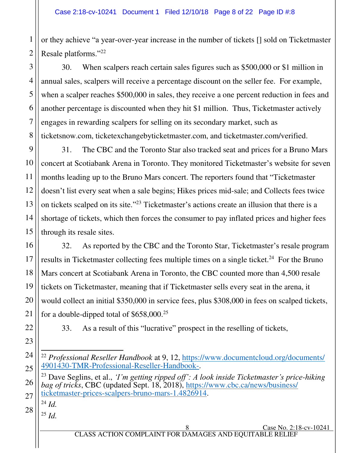2 or they achieve "a year-over-year increase in the number of tickets [] sold on Ticketmaster Resale platforms."22

30. When scalpers reach certain sales figures such as \$500,000 or \$1 million in annual sales, scalpers will receive a percentage discount on the seller fee. For example, when a scalper reaches \$500,000 in sales, they receive a one percent reduction in fees and another percentage is discounted when they hit \$1 million. Thus, Ticketmaster actively engages in rewarding scalpers for selling on its secondary market, such as ticketsnow.com, ticketexchangebyticketmaster.com, and ticketmaster.com/verified.

31. The CBC and the Toronto Star also tracked seat and prices for a Bruno Mars concert at Scotiabank Arena in Toronto. They monitored Ticketmaster's website for seven months leading up to the Bruno Mars concert. The reporters found that "Ticketmaster doesn't list every seat when a sale begins; Hikes prices mid-sale; and Collects fees twice on tickets scalped on its site." <sup>23</sup> Ticketmaster's actions create an illusion that there is a shortage of tickets, which then forces the consumer to pay inflated prices and higher fees through its resale sites.

32. As reported by the CBC and the Toronto Star, Ticketmaster's resale program results in Ticketmaster collecting fees multiple times on a single ticket.<sup>24</sup> For the Bruno Mars concert at Scotiabank Arena in Toronto, the CBC counted more than 4,500 resale tickets on Ticketmaster, meaning that if Ticketmaster sells every seat in the arena, it would collect an initial \$350,000 in service fees, plus \$308,000 in fees on scalped tickets, for a double-dipped total of \$658,000.<sup>25</sup>

33. As a result of this "lucrative" prospect in the reselling of tickets,

<sup>23</sup> Dave Seglins, et al., *'I'm getting ripped off': A look inside Ticketmaster's price-hiking bag of tricks*, CBC (updated Sept. 18, 2018), [https://www.cbc.ca/news/business/](https://www.cbc.ca/news/business/‌ticketmaster-prices-scalpers-bruno-mars-1.4826914) [ticketmaster-prices-scalpers-bruno-mars-1.4826914.](https://www.cbc.ca/news/business/‌ticketmaster-prices-scalpers-bruno-mars-1.4826914)

28 <sup>24</sup> *Id.*

1

3

4

5

6

7

8

9

10

11

12

13

14

15

16

17

18

19

20

21

22

23

24

25

26

27

<sup>25</sup> *Id.* 

 $\overline{\phantom{a}}$ <sup>22</sup> *Professional Reseller Handbook* at 9, 12, [https://www.documentcloud.org/documents/](https://www.documentcloud.org/documents/‌4901430-TMR-Professional-Reseller-Handbook-) [4901430-TMR-Professional-Reseller-Handbook-.](https://www.documentcloud.org/documents/‌4901430-TMR-Professional-Reseller-Handbook-)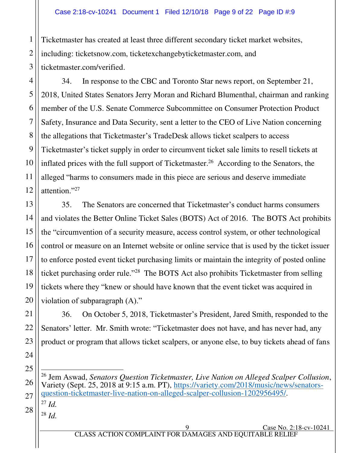Ticketmaster has created at least three different secondary ticket market websites, including: ticketsnow.com, ticketexchangebyticketmaster.com, and ticketmaster.com/verified.

34. In response to the CBC and Toronto Star news report, on September 21, 2018, United States Senators Jerry Moran and Richard Blumenthal, chairman and ranking member of the U.S. Senate Commerce Subcommittee on Consumer Protection Product Safety, Insurance and Data Security, sent a letter to the CEO of Live Nation concerning the allegations that Ticketmaster's TradeDesk allows ticket scalpers to access Ticketmaster's ticket supply in order to circumvent ticket sale limits to resell tickets at inflated prices with the full support of Ticketmaster.<sup>26</sup> According to the Senators, the alleged "harms to consumers made in this piece are serious and deserve immediate attention."<sup>27</sup>

13 14 15 16 17 18 19 20 35. The Senators are concerned that Ticketmaster's conduct harms consumers and violates the Better Online Ticket Sales (BOTS) Act of 2016. The BOTS Act prohibits the "circumvention of a security measure, access control system, or other technological control or measure on an Internet website or online service that is used by the ticket issuer to enforce posted event ticket purchasing limits or maintain the integrity of posted online ticket purchasing order rule."<sup>28</sup> The BOTS Act also prohibits Ticketmaster from selling tickets where they "knew or should have known that the event ticket was acquired in violation of subparagraph (A)."

36. On October 5, 2018, Ticketmaster's President, Jared Smith, responded to the Senators' letter. Mr. Smith wrote: "Ticketmaster does not have, and has never had, any product or program that allows ticket scalpers, or anyone else, to buy tickets ahead of fans

26  $\overline{a}$ <sup>26</sup> Jem Aswad, *Senators Question Ticketmaster, Live Nation on Alleged Scalper Collusion*, Variety (Sept. 25, 2018 at 9:15 a.m. PT), [https://variety.com/2018/music/news/senators](https://variety.com/2018/music/news/senators-question-ticketmaster-live-nation-on-alleged-scalper-collusion-1202956495/)[question-ticketmaster-live-nation-on-alleged-scalper-collusion-1202956495/.](https://variety.com/2018/music/news/senators-question-ticketmaster-live-nation-on-alleged-scalper-collusion-1202956495/)

28  $^{27}$  *Id.* 

1

2

3

4

5

6

7

8

9

10

11

12

21

22

23

24

25

27

<sup>28</sup> *Id.*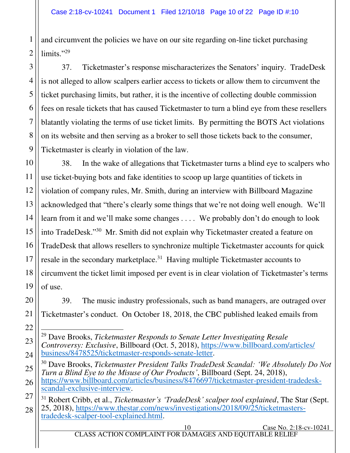and circumvent the policies we have on our site regarding on-line ticket purchasing limits."29

37. Ticketmaster's response mischaracterizes the Senators' inquiry. TradeDesk is not alleged to allow scalpers earlier access to tickets or allow them to circumvent the ticket purchasing limits, but rather, it is the incentive of collecting double commission fees on resale tickets that has caused Ticketmaster to turn a blind eye from these resellers blatantly violating the terms of use ticket limits. By permitting the BOTS Act violations on its website and then serving as a broker to sell those tickets back to the consumer, Ticketmaster is clearly in violation of the law.

38. In the wake of allegations that Ticketmaster turns a blind eye to scalpers who use ticket-buying bots and fake identities to scoop up large quantities of tickets in violation of company rules, Mr. Smith, during an interview with Billboard Magazine acknowledged that "there's clearly some things that we're not doing well enough. We'll learn from it and we'll make some changes . . . . We probably don't do enough to look into TradeDesk."<sup>30</sup> Mr. Smith did not explain why Ticketmaster created a feature on TradeDesk that allows resellers to synchronize multiple Ticketmaster accounts for quick resale in the secondary marketplace.<sup>31</sup> Having multiple Ticketmaster accounts to circumvent the ticket limit imposed per event is in clear violation of Ticketmaster's terms of use.

39. The music industry professionals, such as band managers, are outraged over Ticketmaster's conduct. On October 18, 2018, the CBC published leaked emails from

- <sup>30</sup> Dave Brooks, *Ticketmaster President Talks TradeDesk Scandal: 'We Absolutely Do Not Turn a Blind Eye to the Misuse of Our Products'*, Billboard (Sept. 24, 2018), [https://www.billboard.com/articles/business/8476697/ticketmaster-president-tradedesk](https://www.billboard.com/articles/business/8476697/ticketmaster-president-tradedesk-scandal-exclusive-interview)[scandal-exclusive-interview.](https://www.billboard.com/articles/business/8476697/ticketmaster-president-tradedesk-scandal-exclusive-interview)
- <sup>31</sup> Robert Cribb, et al., *Ticketmaster's 'TradeDesk' scalper tool explained*, The Star (Sept. 25, 2018), [https://www.thestar.com/news/investigations/2018/09/25/ticketmasters](https://www.thestar.com/news/investigations/2018/09/25/ticketmasters-tradedesk-scalper-tool-explained.html)[tradedesk-scalper-tool-explained.html.](https://www.thestar.com/news/investigations/2018/09/25/ticketmasters-tradedesk-scalper-tool-explained.html)

1

10 Case No. 2:18-cv-10241 CLASS ACTION COMPLAINT FOR DAMAGES AND EQUITABLE RELIEF

 $\overline{\phantom{a}}$ <sup>29</sup> Dave Brooks, *Ticketmaster Responds to Senate Letter Investigating Resale Controversy: Exclusive*, Billboard (Oct. 5, 2018), [https://www.billboard.com/articles/](https://www.billboard.com/articles/‌business/8478525/ticketmaster-responds-senate-letter) [business/8478525/ticketmaster-responds-senate-letter.](https://www.billboard.com/articles/‌business/8478525/ticketmaster-responds-senate-letter)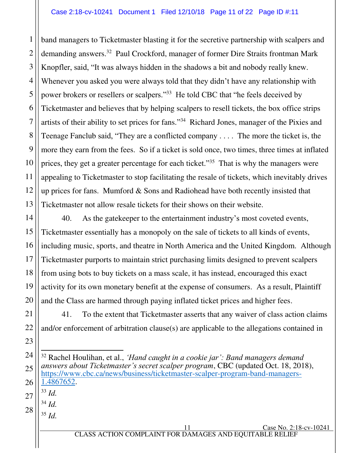band managers to Ticketmaster blasting it for the secretive partnership with scalpers and demanding answers.<sup>32</sup> Paul Crockford, manager of former Dire Straits frontman Mark Knopfler, said, "It was always hidden in the shadows a bit and nobody really knew. Whenever you asked you were always told that they didn't have any relationship with power brokers or resellers or scalpers."<sup>33</sup> He told CBC that "he feels deceived by Ticketmaster and believes that by helping scalpers to resell tickets, the box office strips artists of their ability to set prices for fans."<sup>34</sup> Richard Jones, manager of the Pixies and Teenage Fanclub said, "They are a conflicted company . . . . The more the ticket is, the more they earn from the fees. So if a ticket is sold once, two times, three times at inflated prices, they get a greater percentage for each ticket."<sup>35</sup> That is why the managers were appealing to Ticketmaster to stop facilitating the resale of tickets, which inevitably drives up prices for fans. Mumford  $& Sons$  and Radiohead have both recently insisted that Ticketmaster not allow resale tickets for their shows on their website.

40. As the gatekeeper to the entertainment industry's most coveted events, Ticketmaster essentially has a monopoly on the sale of tickets to all kinds of events, including music, sports, and theatre in North America and the United Kingdom. Although Ticketmaster purports to maintain strict purchasing limits designed to prevent scalpers from using bots to buy tickets on a mass scale, it has instead, encouraged this exact activity for its own monetary benefit at the expense of consumers. As a result, Plaintiff and the Class are harmed through paying inflated ticket prices and higher fees.

41. To the extent that Ticketmaster asserts that any waiver of class action claims and/or enforcement of arbitration clause(s) are applicable to the allegations contained in

- $33$  *Id.*
- $34$  *Id.* 
	- <sup>35</sup> *Id.*

 $\overline{a}$ <sup>32</sup> Rachel Houlihan, et al., *'Hand caught in a cookie jar': Band managers demand answers about Ticketmaster's secret scalper program*, CBC (updated Oct. 18, 2018), [https://www.cbc.ca/news/business/ticketmaster-scalper-program-band-managers-](https://www.cbc.ca/news/business/ticketmaster-scalper-program-band-managers-1.4867652)[1.4867652.](https://www.cbc.ca/news/business/ticketmaster-scalper-program-band-managers-1.4867652)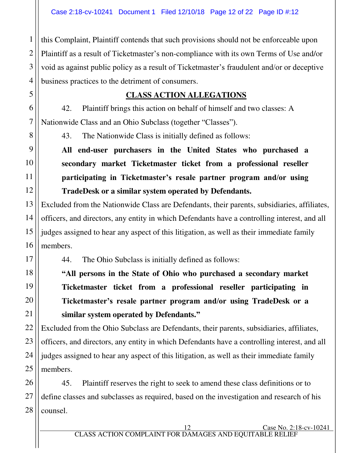this Complaint, Plaintiff contends that such provisions should not be enforceable upon Plaintiff as a result of Ticketmaster's non-compliance with its own Terms of Use and/or void as against public policy as a result of Ticketmaster's fraudulent and/or or deceptive business practices to the detriment of consumers.

#### **CLASS ACTION ALLEGATIONS**

42. Plaintiff brings this action on behalf of himself and two classes: A Nationwide Class and an Ohio Subclass (together "Classes").

43. The Nationwide Class is initially defined as follows:

**All end-user purchasers in the United States who purchased a secondary market Ticketmaster ticket from a professional reseller participating in Ticketmaster's resale partner program and/or using TradeDesk or a similar system operated by Defendants.** 

Excluded from the Nationwide Class are Defendants, their parents, subsidiaries, affiliates, officers, and directors, any entity in which Defendants have a controlling interest, and all judges assigned to hear any aspect of this litigation, as well as their immediate family members.

44. The Ohio Subclass is initially defined as follows:

**"All persons in the State of Ohio who purchased a secondary market Ticketmaster ticket from a professional reseller participating in Ticketmaster's resale partner program and/or using TradeDesk or a similar system operated by Defendants."**

Excluded from the Ohio Subclass are Defendants, their parents, subsidiaries, affiliates, officers, and directors, any entity in which Defendants have a controlling interest, and all judges assigned to hear any aspect of this litigation, as well as their immediate family members.

45. Plaintiff reserves the right to seek to amend these class definitions or to define classes and subclasses as required, based on the investigation and research of his counsel.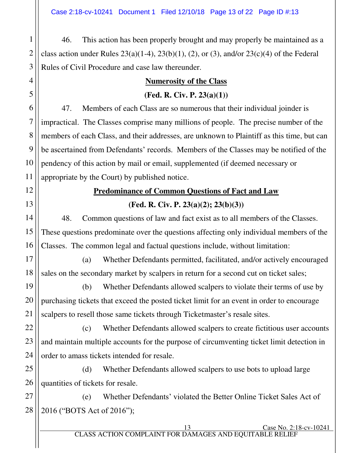46. This action has been properly brought and may properly be maintained as a class action under Rules  $23(a)(1-4)$ ,  $23(b)(1)$ ,  $(2)$ , or  $(3)$ , and/or  $23(c)(4)$  of the Federal Rules of Civil Procedure and case law thereunder.

## **Numerosity of the Class (Fed. R. Civ. P. 23(a)(1))**

47. Members of each Class are so numerous that their individual joinder is impractical. The Classes comprise many millions of people. The precise number of the members of each Class, and their addresses, are unknown to Plaintiff as this time, but can be ascertained from Defendants' records. Members of the Classes may be notified of the pendency of this action by mail or email, supplemented (if deemed necessary or appropriate by the Court) by published notice.

# **Predominance of Common Questions of Fact and Law**

**(Fed. R. Civ. P. 23(a)(2); 23(b)(3))**  48. Common questions of law and fact exist as to all members of the Classes.

These questions predominate over the questions affecting only individual members of the Classes. The common legal and factual questions include, without limitation:

(a) Whether Defendants permitted, facilitated, and/or actively encouraged sales on the secondary market by scalpers in return for a second cut on ticket sales;

(b) Whether Defendants allowed scalpers to violate their terms of use by purchasing tickets that exceed the posted ticket limit for an event in order to encourage scalpers to resell those same tickets through Ticketmaster's resale sites.

(c) Whether Defendants allowed scalpers to create fictitious user accounts and maintain multiple accounts for the purpose of circumventing ticket limit detection in order to amass tickets intended for resale.

(d) Whether Defendants allowed scalpers to use bots to upload large quantities of tickets for resale.

(e) Whether Defendants' violated the Better Online Ticket Sales Act of 2016 ("BOTS Act of 2016");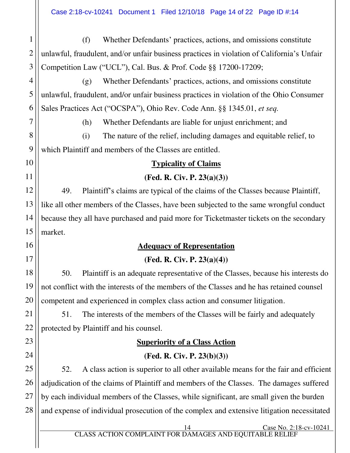2 3 (f) Whether Defendants' practices, actions, and omissions constitute unlawful, fraudulent, and/or unfair business practices in violation of California's Unfair Competition Law ("UCL"), Cal. Bus. & Prof. Code §§ 17200-17209;

(g) Whether Defendants' practices, actions, and omissions constitute unlawful, fraudulent, and/or unfair business practices in violation of the Ohio Consumer Sales Practices Act ("OCSPA"), Ohio Rev. Code Ann. §§ 1345.01, *et seq.*

1

4

5

6

7

8

9

10

11

12

13

14

15

16

17

18

19

20

21

22

23

24

(h) Whether Defendants are liable for unjust enrichment; and

(i) The nature of the relief, including damages and equitable relief, to which Plaintiff and members of the Classes are entitled.

#### **Typicality of Claims**

**(Fed. R. Civ. P. 23(a)(3))** 

49. Plaintiff's claims are typical of the claims of the Classes because Plaintiff, like all other members of the Classes, have been subjected to the same wrongful conduct because they all have purchased and paid more for Ticketmaster tickets on the secondary market.

#### **Adequacy of Representation**

#### **(Fed. R. Civ. P. 23(a)(4))**

50. Plaintiff is an adequate representative of the Classes, because his interests do not conflict with the interests of the members of the Classes and he has retained counsel competent and experienced in complex class action and consumer litigation.

51. The interests of the members of the Classes will be fairly and adequately protected by Plaintiff and his counsel.

## **Superiority of a Class Action**

#### **(Fed. R. Civ. P. 23(b)(3))**

25 26 27 28 52. A class action is superior to all other available means for the fair and efficient adjudication of the claims of Plaintiff and members of the Classes. The damages suffered by each individual members of the Classes, while significant, are small given the burden and expense of individual prosecution of the complex and extensive litigation necessitated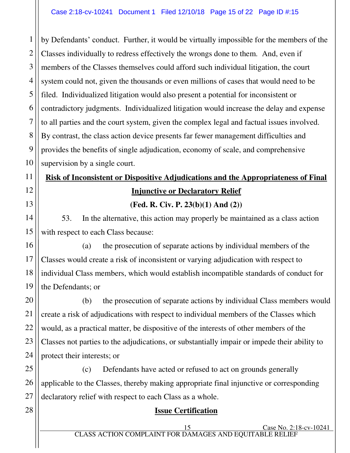by Defendants' conduct. Further, it would be virtually impossible for the members of the Classes individually to redress effectively the wrongs done to them. And, even if members of the Classes themselves could afford such individual litigation, the court system could not, given the thousands or even millions of cases that would need to be filed. Individualized litigation would also present a potential for inconsistent or contradictory judgments. Individualized litigation would increase the delay and expense to all parties and the court system, given the complex legal and factual issues involved. By contrast, the class action device presents far fewer management difficulties and provides the benefits of single adjudication, economy of scale, and comprehensive supervision by a single court.

# **Risk of Inconsistent or Dispositive Adjudications and the Appropriateness of Final Injunctive or Declaratory Relief**

**(Fed. R. Civ. P. 23(b)(1) And (2))** 

53. In the alternative, this action may properly be maintained as a class action with respect to each Class because:

(a) the prosecution of separate actions by individual members of the Classes would create a risk of inconsistent or varying adjudication with respect to individual Class members, which would establish incompatible standards of conduct for the Defendants; or

(b) the prosecution of separate actions by individual Class members would create a risk of adjudications with respect to individual members of the Classes which would, as a practical matter, be dispositive of the interests of other members of the Classes not parties to the adjudications, or substantially impair or impede their ability to protect their interests; or

(c) Defendants have acted or refused to act on grounds generally applicable to the Classes, thereby making appropriate final injunctive or corresponding declaratory relief with respect to each Class as a whole.

#### **Issue Certification**

1

15 Case No. 2:18-cv-10241 CLASS ACTION COMPLAINT FOR DAMAGES AND EQUITABLE RELIEF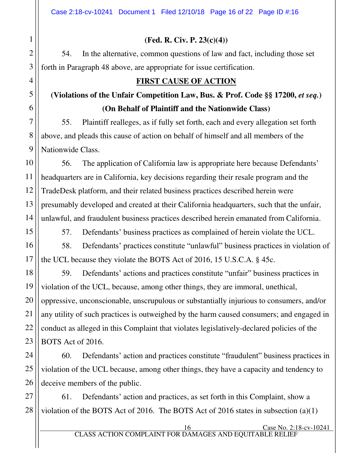## **(Fed. R. Civ. P. 23(c)(4))**

54. In the alternative, common questions of law and fact, including those set forth in Paragraph 48 above, are appropriate for issue certification.

## **FIRST CAUSE OF ACTION**

# (Violations of the Unfair Competition Law, Bus. & Prof. Code §§ 17200, *et seq.*) **(On Behalf of Plaintiff and the Nationwide Class)**

55. Plaintiff realleges, as if fully set forth, each and every allegation set forth above, and pleads this cause of action on behalf of himself and all members of the Nationwide Class.

56. The application of California law is appropriate here because Defendants' headquarters are in California, key decisions regarding their resale program and the TradeDesk platform, and their related business practices described herein were presumably developed and created at their California headquarters, such that the unfair, unlawful, and fraudulent business practices described herein emanated from California.

57. Defendants' business practices as complained of herein violate the UCL.

58. Defendants' practices constitute "unlawful" business practices in violation of the UCL because they violate the BOTS Act of 2016, 15 U.S.C.A. § 45c.

59. Defendants' actions and practices constitute "unfair" business practices in violation of the UCL, because, among other things, they are immoral, unethical, oppressive, unconscionable, unscrupulous or substantially injurious to consumers, and/or any utility of such practices is outweighed by the harm caused consumers; and engaged in conduct as alleged in this Complaint that violates legislatively-declared policies of the BOTS Act of 2016.

60. Defendants' action and practices constitute "fraudulent" business practices in violation of the UCL because, among other things, they have a capacity and tendency to deceive members of the public.

61. Defendants' action and practices, as set forth in this Complaint, show a violation of the BOTS Act of 2016. The BOTS Act of 2016 states in subsection (a)(1)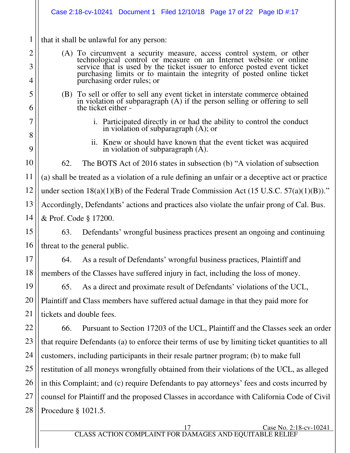1 2 3 4 5 6 7 8 9 10 11 12 13 14 15 16 17 18 19 20 21 22 23 24 25 26 27 28 17 Case No. 2:18-cv-10241 that it shall be unlawful for any person: (A) To circumvent a security measure, access control system, or other technological control or measure on an Internet website or online service that is used by the ticket issuer to enforce posted event ticket purchasing limits or to maintain the integrity of posted online ticket purchasing order rules; or (B) To sell or offer to sell any event ticket in interstate commerce obtained in violation of subparagraph (A) if the person selling or offering to sell the ticket either i. Participated directly in or had the ability to control the conduct in violation of subparagraph (A); or ii. Knew or should have known that the event ticket was acquired in violation of subparagraph (A). 62. The BOTS Act of 2016 states in subsection (b) "A violation of subsection (a) shall be treated as a violation of a rule defining an unfair or a deceptive act or practice under section  $18(a)(1)(B)$  of the Federal Trade Commission Act (15 U.S.C. 57(a)(1)(B))." Accordingly, Defendants' actions and practices also violate the unfair prong of Cal. Bus. & Prof. Code § 17200. 63. Defendants' wrongful business practices present an ongoing and continuing threat to the general public. 64. As a result of Defendants' wrongful business practices, Plaintiff and members of the Classes have suffered injury in fact, including the loss of money. 65. As a direct and proximate result of Defendants' violations of the UCL, Plaintiff and Class members have suffered actual damage in that they paid more for tickets and double fees. 66. Pursuant to Section 17203 of the UCL, Plaintiff and the Classes seek an order that require Defendants (a) to enforce their terms of use by limiting ticket quantities to all customers, including participants in their resale partner program; (b) to make full restitution of all moneys wrongfully obtained from their violations of the UCL, as alleged in this Complaint; and (c) require Defendants to pay attorneys' fees and costs incurred by counsel for Plaintiff and the proposed Classes in accordance with California Code of Civil Procedure § 1021.5. Case 2:18-cv-10241 Document 1 Filed 12/10/18 Page 17 of 22 Page ID #:17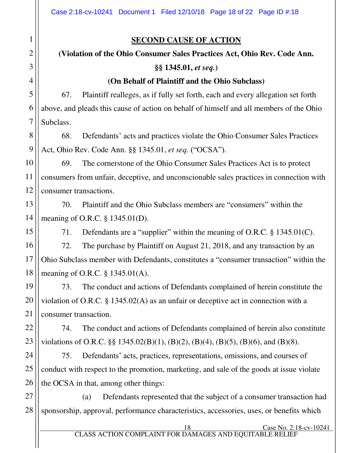### **SECOND CAUSE OF ACTION**

## **(Violation of the Ohio Consumer Sales Practices Act, Ohio Rev. Code Ann. §§ 1345.01,** *et seq.***)**

#### **(On Behalf of Plaintiff and the Ohio Subclass)**

67. Plaintiff realleges, as if fully set forth, each and every allegation set forth above, and pleads this cause of action on behalf of himself and all members of the Ohio Subclass.

68. Defendants' acts and practices violate the Ohio Consumer Sales Practices Act, Ohio Rev. Code Ann. §§ 1345.01, *et seq.* ("OCSA").

69. The cornerstone of the Ohio Consumer Sales Practices Act is to protect consumers from unfair, deceptive, and unconscionable sales practices in connection with consumer transactions.

70. Plaintiff and the Ohio Subclass members are "consumers" within the meaning of O.R.C. § 1345.01(D).

71. Defendants are a "supplier" within the meaning of O.R.C. § 1345.01(C).

72. The purchase by Plaintiff on August 21, 2018, and any transaction by an Ohio Subclass member with Defendants, constitutes a "consumer transaction" within the meaning of O.R.C. § 1345.01(A).

73. The conduct and actions of Defendants complained of herein constitute the violation of O.R.C. § 1345.02(A) as an unfair or deceptive act in connection with a consumer transaction.

74. The conduct and actions of Defendants complained of herein also constitute violations of O.R.C.  $\S$   $\S$  1345.02(B)(1), (B)(2), (B)(4), (B)(5), (B)(6), and (B)(8).

75. Defendants' acts, practices, representations, omissions, and courses of conduct with respect to the promotion, marketing, and sale of the goods at issue violate the OCSA in that, among other things:

(a) Defendants represented that the subject of a consumer transaction had sponsorship, approval, performance characteristics, accessories, uses, or benefits which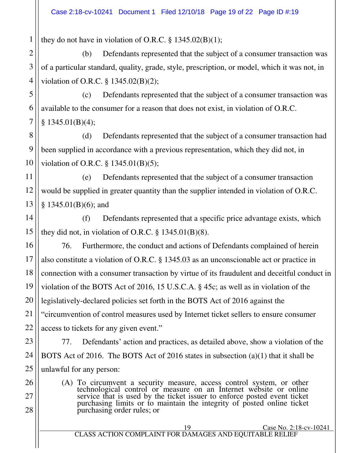they do not have in violation of O.R.C.  $\S$  1345.02(B)(1);

(b) Defendants represented that the subject of a consumer transaction was of a particular standard, quality, grade, style, prescription, or model, which it was not, in violation of O.R.C. § 1345.02(B)(2);

(c) Defendants represented that the subject of a consumer transaction was available to the consumer for a reason that does not exist, in violation of O.R.C.  $§$  1345.01(B)(4);

(d) Defendants represented that the subject of a consumer transaction had been supplied in accordance with a previous representation, which they did not, in violation of O.R.C. § 1345.01(B)(5);

(e) Defendants represented that the subject of a consumer transaction would be supplied in greater quantity than the supplier intended in violation of O.R.C. § 1345.01(B)(6); and

(f) Defendants represented that a specific price advantage exists, which they did not, in violation of O.R.C.  $\S$  1345.01(B)(8).

76. Furthermore, the conduct and actions of Defendants complained of herein also constitute a violation of O.R.C. § 1345.03 as an unconscionable act or practice in connection with a consumer transaction by virtue of its fraudulent and deceitful conduct in violation of the BOTS Act of 2016, 15 U.S.C.A. § 45c; as well as in violation of the legislatively-declared policies set forth in the BOTS Act of 2016 against the "circumvention of control measures used by Internet ticket sellers to ensure consumer access to tickets for any given event."

77. Defendants' action and practices, as detailed above, show a violation of the BOTS Act of 2016. The BOTS Act of 2016 states in subsection (a)(1) that it shall be unlawful for any person:

(A) To circumvent a security measure, access control system, or other technological control or measure on an Internet website or online service that is used by the ticket issuer to enforce posted event ticket purchasing limits or to maintain the integrity of posted online ticket purchasing order rules; or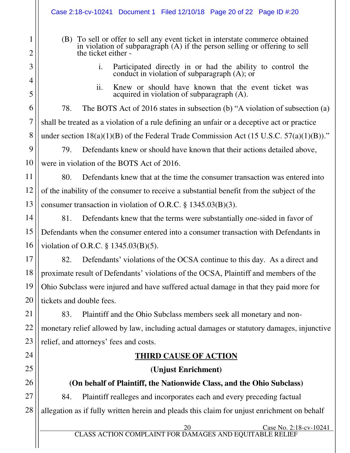- (B) To sell or offer to sell any event ticket in interstate commerce obtained in violation of subparagraph (A) if the person selling or offering to sell the ticket either
	- i. Participated directly in or had the ability to control the conduct in violation of subparagraph (A); or
	- ii. Knew or should have known that the event ticket was acquired in violation of subparagraph (A).

78. The BOTS Act of 2016 states in subsection (b) "A violation of subsection (a) shall be treated as a violation of a rule defining an unfair or a deceptive act or practice under section  $18(a)(1)(B)$  of the Federal Trade Commission Act (15 U.S.C.  $57(a)(1)(B)$ )."

79. Defendants knew or should have known that their actions detailed above, were in violation of the BOTS Act of 2016.

80. Defendants knew that at the time the consumer transaction was entered into of the inability of the consumer to receive a substantial benefit from the subject of the consumer transaction in violation of O.R.C. § 1345.03(B)(3).

81. Defendants knew that the terms were substantially one-sided in favor of Defendants when the consumer entered into a consumer transaction with Defendants in violation of O.R.C. § 1345.03(B)(5).

82. Defendants' violations of the OCSA continue to this day. As a direct and proximate result of Defendants' violations of the OCSA, Plaintiff and members of the Ohio Subclass were injured and have suffered actual damage in that they paid more for tickets and double fees.

83. Plaintiff and the Ohio Subclass members seek all monetary and nonmonetary relief allowed by law, including actual damages or statutory damages, injunctive relief, and attorneys' fees and costs.

### **THIRD CAUSE OF ACTION**

### **(Unjust Enrichment)**

## **(On behalf of Plaintiff, the Nationwide Class, and the Ohio Subclass)**

84. Plaintiff realleges and incorporates each and every preceding factual allegation as if fully written herein and pleads this claim for unjust enrichment on behalf

20 Case No. 2:18-cv-10241 CLASS ACTION COMPLAINT FOR DAMAGES AND EQUITABLE RELIEF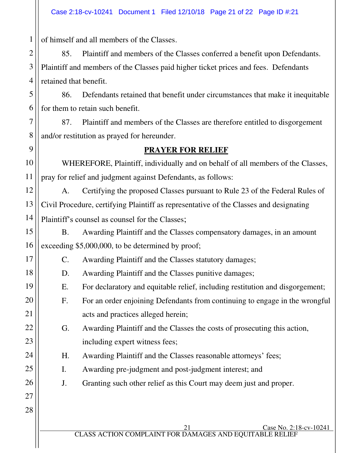of himself and all members of the Classes.

1

5

6

7

8

9

10

11

14

15

16

17

18

19

20

21

22

23

24

25

26

27

28

2 3 4 85. Plaintiff and members of the Classes conferred a benefit upon Defendants. Plaintiff and members of the Classes paid higher ticket prices and fees. Defendants retained that benefit.

86. Defendants retained that benefit under circumstances that make it inequitable for them to retain such benefit.

87. Plaintiff and members of the Classes are therefore entitled to disgorgement and/or restitution as prayed for hereunder.

#### **PRAYER FOR RELIEF**

 WHEREFORE, Plaintiff, individually and on behalf of all members of the Classes, pray for relief and judgment against Defendants, as follows:

12 13 A. Certifying the proposed Classes pursuant to Rule 23 of the Federal Rules of Civil Procedure, certifying Plaintiff as representative of the Classes and designating Plaintiff's counsel as counsel for the Classes;

B. Awarding Plaintiff and the Classes compensatory damages, in an amount exceeding \$5,000,000, to be determined by proof;

C. Awarding Plaintiff and the Classes statutory damages;

D. Awarding Plaintiff and the Classes punitive damages;

E. For declaratory and equitable relief, including restitution and disgorgement;

F. For an order enjoining Defendants from continuing to engage in the wrongful acts and practices alleged herein;

G. Awarding Plaintiff and the Classes the costs of prosecuting this action, including expert witness fees;

H. Awarding Plaintiff and the Classes reasonable attorneys' fees;

I. Awarding pre-judgment and post-judgment interest; and

J. Granting such other relief as this Court may deem just and proper.